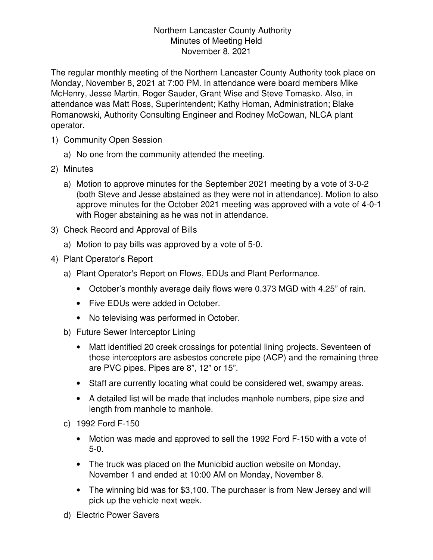## Northern Lancaster County Authority Minutes of Meeting Held November 8, 2021

The regular monthly meeting of the Northern Lancaster County Authority took place on Monday, November 8, 2021 at 7:00 PM. In attendance were board members Mike McHenry, Jesse Martin, Roger Sauder, Grant Wise and Steve Tomasko. Also, in attendance was Matt Ross, Superintendent; Kathy Homan, Administration; Blake Romanowski, Authority Consulting Engineer and Rodney McCowan, NLCA plant operator.

- 1) Community Open Session
	- a) No one from the community attended the meeting.
- 2) Minutes
	- a) Motion to approve minutes for the September 2021 meeting by a vote of 3-0-2 (both Steve and Jesse abstained as they were not in attendance). Motion to also approve minutes for the October 2021 meeting was approved with a vote of 4-0-1 with Roger abstaining as he was not in attendance.
- 3) Check Record and Approval of Bills
	- a) Motion to pay bills was approved by a vote of 5-0.
- 4) Plant Operator's Report
	- a) Plant Operator's Report on Flows, EDUs and Plant Performance.
		- October's monthly average daily flows were 0.373 MGD with 4.25" of rain.
		- Five EDUs were added in October.
		- No televising was performed in October.
	- b) Future Sewer Interceptor Lining
		- Matt identified 20 creek crossings for potential lining projects. Seventeen of those interceptors are asbestos concrete pipe (ACP) and the remaining three are PVC pipes. Pipes are 8", 12" or 15".
		- Staff are currently locating what could be considered wet, swampy areas.
		- A detailed list will be made that includes manhole numbers, pipe size and length from manhole to manhole.
	- c) 1992 Ford F-150
		- Motion was made and approved to sell the 1992 Ford F-150 with a vote of 5-0.
		- The truck was placed on the Municibid auction website on Monday, November 1 and ended at 10:00 AM on Monday, November 8.
		- The winning bid was for \$3,100. The purchaser is from New Jersey and will pick up the vehicle next week.
	- d) Electric Power Savers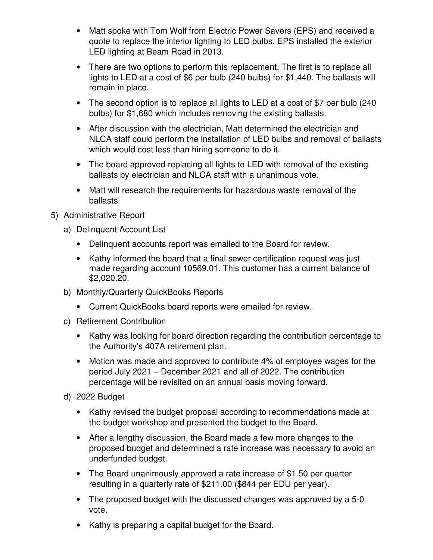- Matt spoke with Tom Wolf from Electric Power Savers (EPS) and received a quote to replace the interior lighting to LED bulbs. EPS installed the exterior LED lighting at Beam Road in 2013.
- There are two options to perform this replacement. The first is to replace all lights to LED at a cost of \$6 per bulb (240 bulbs) for \$1,440. The ballasts will remain in place.
- The second option is to replace all lights to LED at a cost of \$7 per bulb (240) bulbs) for \$1,680 which includes removing the existing ballasts.
- After discussion with the electrician, Matt determined the electrician and NLCA staff could perform the installation of LED bulbs and removal of ballasts which would cost less than hiring someone to do it.
- The board approved replacing all lights to LED with removal of the existing ballasts by electrician and NLCA staff with a unanimous vote.
- Matt will research the requirements for hazardous waste removal of the ballasts.
- 5) Administrative Report
	- a) Delinquent Account List
		- Delinquent accounts report was emailed to the Board for review.
		- Kathy informed the board that a final sewer certification request was just made regarding account 10569.01. This customer has a current balance of \$2,020.20.
	- b) Monthly/Quarterly QuickBooks Reports
		- Current QuickBooks board reports were emailed for review.
	- c) Retirement Contribution
		- Kathy was looking for board direction regarding the contribution percentage to the Authority's 407A retirement plan.
		- Motion was made and approved to contribute 4% of employee wages for the period July 2021 – December 2021 and all of 2022. The contribution percentage will be revisited on an annual basis moving forward.
	- d) 2022 Budget
		- Kathy revised the budget proposal according to recommendations made at the budget workshop and presented the budget to the Board.
		- After a lengthy discussion, the Board made a few more changes to the proposed budget and determined a rate increase was necessary to avoid an underfunded budget.
		- The Board unanimously approved a rate increase of \$1.50 per quarter resulting in a quarterly rate of \$211.00 (\$844 per EDU per year).
		- The proposed budget with the discussed changes was approved by a 5-0 vote.
		- Kathy is preparing a capital budget for the Board.